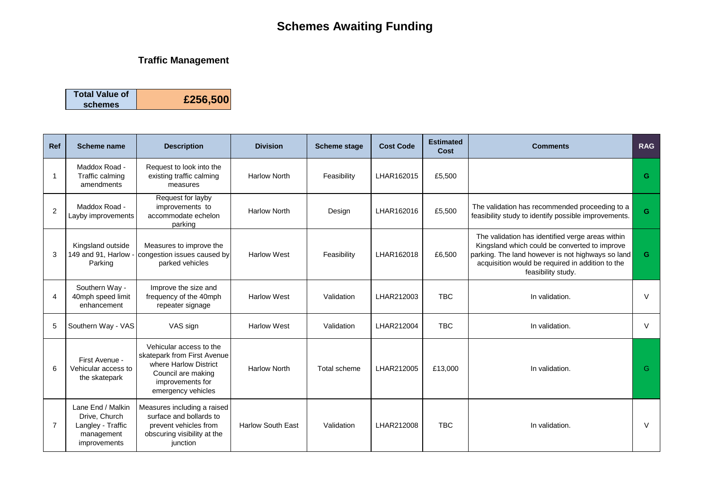# **Schemes Awaiting Funding**

### **Traffic Management**

| <b>Total Value of</b> |          |
|-----------------------|----------|
| schemes               | £256,500 |

| <b>Ref</b>     | <b>Scheme name</b>                                                                    | <b>Description</b>                                                                                                                              | <b>Division</b>          | <b>Scheme stage</b> | <b>Cost Code</b> | <b>Estimated</b><br>Cost | <b>Comments</b>                                                                                                                                                                                                                  | <b>RAG</b> |
|----------------|---------------------------------------------------------------------------------------|-------------------------------------------------------------------------------------------------------------------------------------------------|--------------------------|---------------------|------------------|--------------------------|----------------------------------------------------------------------------------------------------------------------------------------------------------------------------------------------------------------------------------|------------|
|                | Maddox Road -<br>Traffic calming<br>amendments                                        | Request to look into the<br>existing traffic calming<br>measures                                                                                | <b>Harlow North</b>      | Feasibility         | LHAR162015       | £5,500                   |                                                                                                                                                                                                                                  | G          |
| 2              | Maddox Road -<br>Layby improvements                                                   | Request for layby<br>improvements to<br>accommodate echelon<br>parking                                                                          | <b>Harlow North</b>      | Design              | LHAR162016       | £5,500                   | The validation has recommended proceeding to a<br>feasibility study to identify possible improvements.                                                                                                                           | G          |
| 3              | Kingsland outside<br>149 and 91, Harlow<br>Parking                                    | Measures to improve the<br>congestion issues caused by<br>parked vehicles                                                                       | <b>Harlow West</b>       | Feasibility         | LHAR162018       | £6,500                   | The validation has identified verge areas within<br>Kingsland which could be converted to improve<br>parking. The land however is not highways so land<br>acquisition would be required in addition to the<br>feasibility study. | G.         |
|                | Southern Way -<br>40mph speed limit<br>enhancement                                    | Improve the size and<br>frequency of the 40mph<br>repeater signage                                                                              | <b>Harlow West</b>       | Validation          | LHAR212003       | <b>TBC</b>               | In validation.                                                                                                                                                                                                                   | $\vee$     |
| 5              | Southern Way - VAS                                                                    | VAS sign                                                                                                                                        | <b>Harlow West</b>       | Validation          | LHAR212004       | <b>TBC</b>               | In validation.                                                                                                                                                                                                                   | V          |
| 6              | First Avenue -<br>Vehicular access to<br>the skatepark                                | Vehicular access to the<br>skatepark from First Avenue<br>where Harlow District<br>Council are making<br>improvements for<br>emergency vehicles | <b>Harlow North</b>      | Total scheme        | LHAR212005       | £13,000                  | In validation.                                                                                                                                                                                                                   | G          |
| $\overline{7}$ | Lane End / Malkin<br>Drive, Church<br>Langley - Traffic<br>management<br>improvements | Measures including a raised<br>surface and bollards to<br>prevent vehicles from<br>obscuring visibility at the<br>junction                      | <b>Harlow South East</b> | Validation          | LHAR212008       | <b>TBC</b>               | In validation.                                                                                                                                                                                                                   | V          |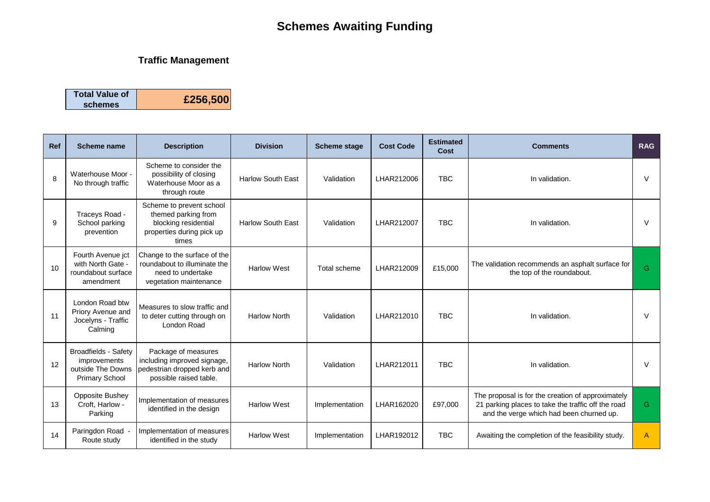# **Schemes Awaiting Funding**

## **Traffic Management**

| <b>Total Value of</b> |          |
|-----------------------|----------|
| schemes               | £256,500 |

| Ref | Scheme name                                                                               | <b>Description</b>                                                                                            | <b>Division</b>          | Scheme stage   | <b>Cost Code</b> | <b>Estimated</b><br>Cost | <b>Comments</b>                                                                                                                                     | <b>RAG</b>   |
|-----|-------------------------------------------------------------------------------------------|---------------------------------------------------------------------------------------------------------------|--------------------------|----------------|------------------|--------------------------|-----------------------------------------------------------------------------------------------------------------------------------------------------|--------------|
| 8   | Waterhouse Moor -<br>No through traffic                                                   | Scheme to consider the<br>possibility of closing<br>Waterhouse Moor as a<br>through route                     | <b>Harlow South East</b> | Validation     | LHAR212006       | <b>TBC</b>               | In validation.                                                                                                                                      | V            |
| 9   | Traceys Road -<br>School parking<br>prevention                                            | Scheme to prevent school<br>themed parking from<br>blocking residential<br>properties during pick up<br>times | <b>Harlow South East</b> | Validation     | LHAR212007       | <b>TBC</b>               | In validation.                                                                                                                                      | $\vee$       |
| 10  | Fourth Avenue jct<br>with North Gate -<br>roundabout surface<br>amendment                 | Change to the surface of the<br>roundabout to illuminate the<br>need to undertake<br>vegetation maintenance   | <b>Harlow West</b>       | Total scheme   | LHAR212009       | £15,000                  | The validation recommends an asphalt surface for<br>the top of the roundabout.                                                                      | G.           |
| 11  | London Road btw<br>Priory Avenue and<br>Jocelyns - Traffic<br>Calming                     | Measures to slow traffic and<br>to deter cutting through on<br>London Road                                    | <b>Harlow North</b>      | Validation     | LHAR212010       | TBC.                     | In validation.                                                                                                                                      | V            |
| 12  | <b>Broadfields - Safety</b><br>improvements<br>outside The Downs<br><b>Primary School</b> | Package of measures<br>including improved signage,<br>pedestrian dropped kerb and<br>possible raised table.   | <b>Harlow North</b>      | Validation     | LHAR212011       | <b>TBC</b>               | In validation.                                                                                                                                      | V            |
| 13  | <b>Opposite Bushey</b><br>Croft. Harlow -<br>Parking                                      | Implementation of measures<br>identified in the design                                                        | <b>Harlow West</b>       | Implementation | LHAR162020       | £97,000                  | The proposal is for the creation of approximately<br>21 parking places to take the traffic off the road<br>and the verge which had been churned up. | G.           |
| 14  | Paringdon Road -<br>Route study                                                           | Implementation of measures<br>identified in the study                                                         | <b>Harlow West</b>       | Implementation | LHAR192012       | <b>TBC</b>               | Awaiting the completion of the feasibility study.                                                                                                   | $\mathsf{A}$ |